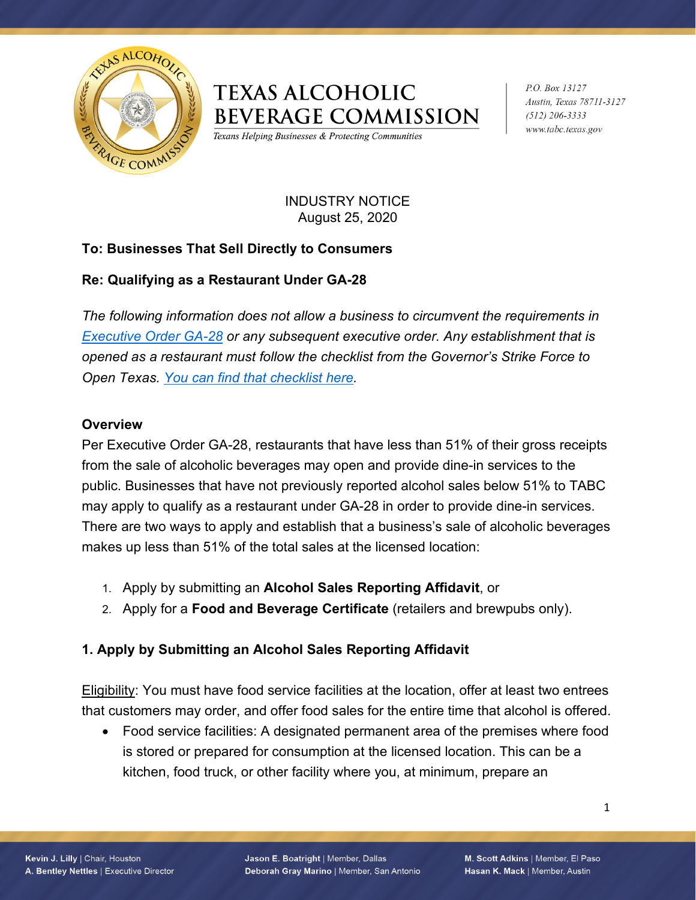

# **TEXAS ALCOHOLIC BEVERAGE COMMISSION**

Texans Helping Businesses & Protecting Communities

P.O. Box 13127 Austin, Texas 78711-3127  $(512)$  206-3333 www.tabc.texas.gov

#### INDUSTRY NOTICE August 25, 2020

# **To: Businesses That Sell Directly to Consumers**

# **Re: Qualifying as a Restaurant Under GA-28**

*The following information does not allow a business to circumvent the requirements in [Executive Order GA-28](https://gov.texas.gov/uploads/files/press/EO-GA-28_targeted_response_to_reopening_COVID-19.pdf) or any subsequent executive order. Any establishment that is opened as a restaurant must follow the checklist from the Governor's Strike Force to Open Texas. [You can find that checklist](https://open.texas.gov/uploads/files/organization/opentexas/OpenTexas-Checklist-Restaurants.pdf) here.*

### **Overview**

Per Executive Order GA-28, restaurants that have less than 51% of their gross receipts from the sale of alcoholic beverages may open and provide dine-in services to the public. Businesses that have not previously reported alcohol sales below 51% to TABC may apply to qualify as a restaurant under GA-28 in order to provide dine-in services. There are two ways to apply and establish that a business's sale of alcoholic beverages makes up less than 51% of the total sales at the licensed location:

- 1. Apply by submitting an **Alcohol Sales Reporting Affidavit**, or
- 2. Apply for a **Food and Beverage Certificate** (retailers and brewpubs only).

### **1. Apply by Submitting an Alcohol Sales Reporting Affidavit**

Eligibility: You must have food service facilities at the location, offer at least two entrees that customers may order, and offer food sales for the entire time that alcohol is offered.

• Food service facilities: A designated permanent area of the premises where food is stored or prepared for consumption at the licensed location. This can be a kitchen, food truck, or other facility where you, at minimum, prepare an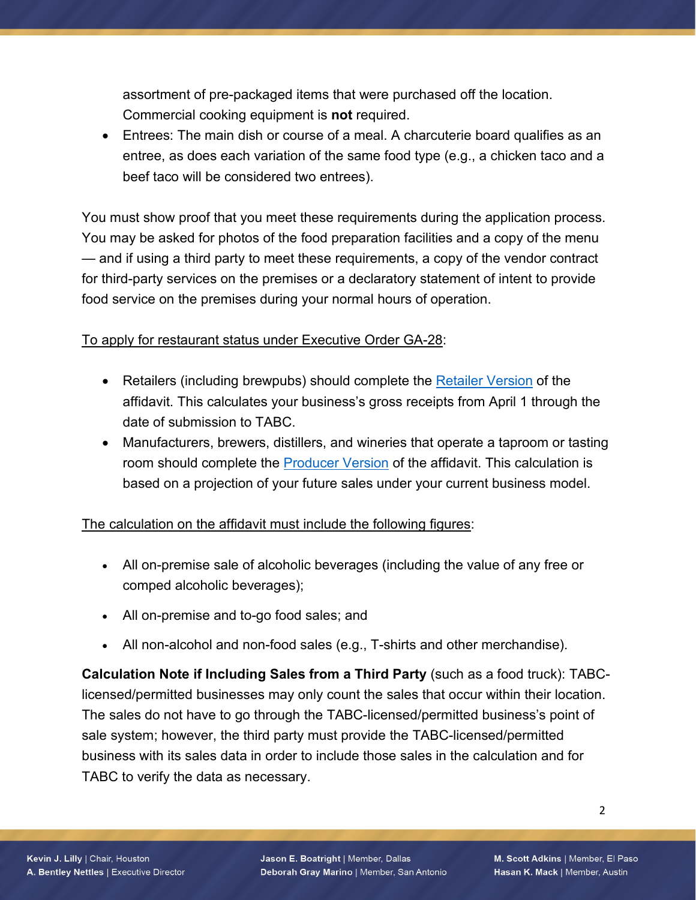assortment of pre-packaged items that were purchased off the location. Commercial cooking equipment is **not** required.

• Entrees: The main dish or course of a meal. A charcuterie board qualifies as an entree, as does each variation of the same food type (e.g., a chicken taco and a beef taco will be considered two entrees).

You must show proof that you meet these requirements during the application process. You may be asked for photos of the food preparation facilities and a copy of the menu — and if using a third party to meet these requirements, a copy of the vendor contract for third-party services on the premises or a declaratory statement of intent to provide food service on the premises during your normal hours of operation.

### To apply for restaurant status under Executive Order GA-28:

- Retailers (including brewpubs) should complete the [Retailer Version](https://www.tabc.texas.gov/coronavirus/files/AffidavitReportingRetailerAlcoholSales.pdf) of the affidavit. This calculates your business's gross receipts from April 1 through the date of submission to TABC.
- Manufacturers, brewers, distillers, and wineries that operate a taproom or tasting room should complete the [Producer Version](https://www.tabc.texas.gov/coronavirus/files/AlcoholSalesAffidavitForProducers.pdf) of the affidavit. This calculation is based on a projection of your future sales under your current business model.

### The calculation on the affidavit must include the following figures:

- All on-premise sale of alcoholic beverages (including the value of any free or comped alcoholic beverages);
- All on-premise and to-go food sales; and
- All non-alcohol and non-food sales (e.g., T-shirts and other merchandise).

**Calculation Note if Including Sales from a Third Party** (such as a food truck): TABClicensed/permitted businesses may only count the sales that occur within their location. The sales do not have to go through the TABC-licensed/permitted business's point of sale system; however, the third party must provide the TABC-licensed/permitted business with its sales data in order to include those sales in the calculation and for TABC to verify the data as necessary.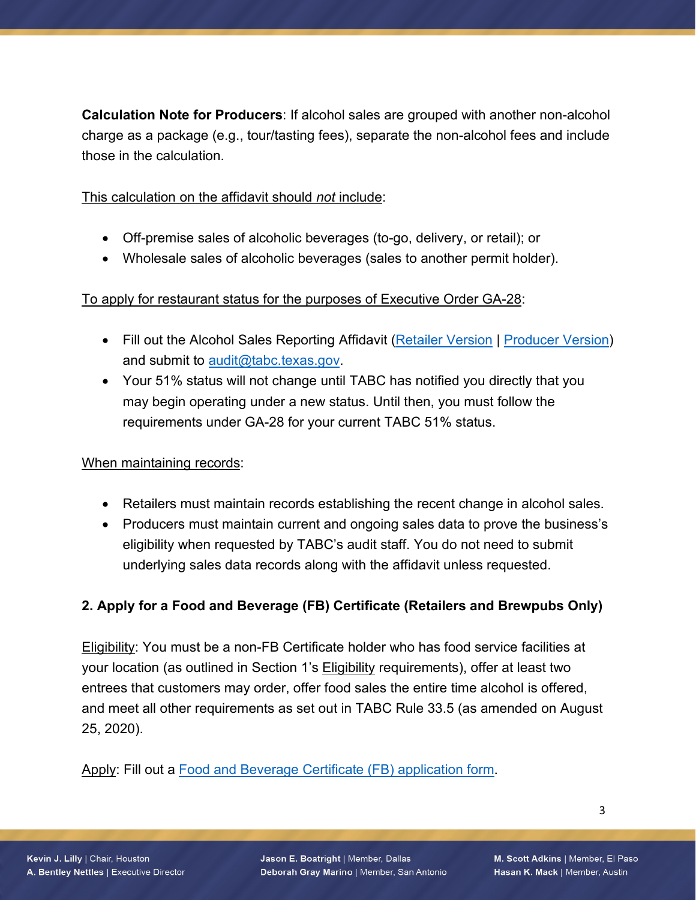**Calculation Note for Producers**: If alcohol sales are grouped with another non-alcohol charge as a package (e.g., tour/tasting fees), separate the non-alcohol fees and include those in the calculation.

This calculation on the affidavit should *not* include:

- Off-premise sales of alcoholic beverages (to-go, delivery, or retail); or
- Wholesale sales of alcoholic beverages (sales to another permit holder).

## To apply for restaurant status for the purposes of Executive Order GA-28:

- Fill out the Alcohol Sales Reporting Affidavit [\(Retailer Version](https://www.tabc.texas.gov/coronavirus/files/AffidavitReportingRetailerAlcoholSales.pdf) | [Producer Version\)](https://www.tabc.texas.gov/coronavirus/files/AlcoholSalesAffidavitForProducers.pdf) and submit to [audit@tabc.texas.gov.](mailto:audit@tabc.texas.gov)
- Your 51% status will not change until TABC has notified you directly that you may begin operating under a new status. Until then, you must follow the requirements under GA-28 for your current TABC 51% status.

### When maintaining records:

- Retailers must maintain records establishing the recent change in alcohol sales.
- Producers must maintain current and ongoing sales data to prove the business's eligibility when requested by TABC's audit staff. You do not need to submit underlying sales data records along with the affidavit unless requested.

# **2. Apply for a Food and Beverage (FB) Certificate (Retailers and Brewpubs Only)**

Eligibility: You must be a non-FB Certificate holder who has food service facilities at your location (as outlined in Section 1's **Eligibility requirements)**, offer at least two entrees that customers may order, offer food sales the entire time alcohol is offered, and meet all other requirements as set out in TABC Rule 33.5 (as amended on August 25, 2020).

Apply: Fill out a [Food and Beverage Certificate \(FB\) application form.](https://www.tabc.texas.gov/forms/licensing/locationPacketReportingRetailers.pdf)

Jason E. Boatright | Member, Dallas Deborah Gray Marino | Member, San Antonio